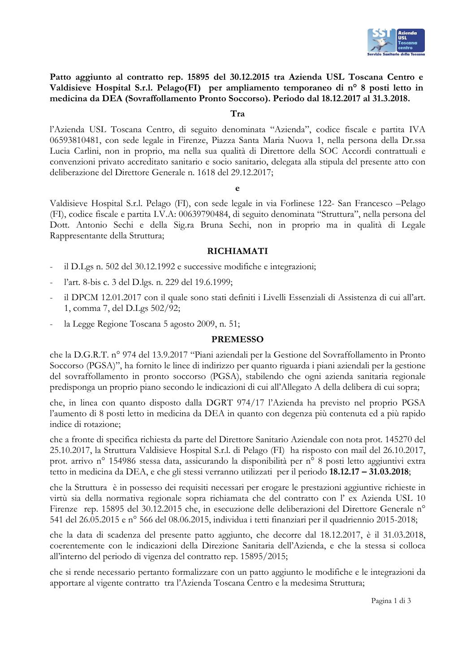

# Patto aggiunto al contratto rep. 15895 del 30.12.2015 tra Azienda USL Toscana Centro e Valdisieve Hospital S.r.l. Pelago(FI) per ampliamento temporaneo di nº 8 posti letto in medicina da DEA (Sovraffollamento Pronto Soccorso). Periodo dal 18.12.2017 al 31.3.2018.

#### Tra

l'Azienda USL Toscana Centro, di seguito denominata "Azienda", codice fiscale e partita IVA 06593810481, con sede legale in Firenze, Piazza Santa Maria Nuova 1, nella persona della Dr.ssa Lucia Carlini, non in proprio, ma nella sua qualità di Direttore della SOC Accordi contrattuali e convenzioni privato accreditato sanitario e socio sanitario, delegata alla stipula del presente atto con deliberazione del Direttore Generale n. 1618 del 29.12.2017;

Valdisieve Hospital S.r.l. Pelago (FI), con sede legale in via Forlinese 122- San Francesco -Pelago (FI), codice fiscale e partita I.V.A: 00639790484, di seguito denominata "Struttura", nella persona del Dott. Antonio Sechi e della Sig.ra Bruna Sechi, non in proprio ma in qualità di Legale Rappresentante della Struttura;

### **RICHIAMATI**

- il D.Lgs n. 502 del 30.12.1992 e successive modifiche e integrazioni;
- l'art. 8-bis c. 3 del D.lgs. n. 229 del 19.6.1999;
- il DPCM 12.01.2017 con il quale sono stati definiti i Livelli Essenziali di Assistenza di cui all'art. 1, comma 7, del D.Lgs 502/92;
- la Legge Regione Toscana 5 agosto 2009, n. 51;

## **PREMESSO**

che la D.G.R.T. nº 974 del 13.9.2017 "Piani aziendali per la Gestione del Sovraffollamento in Pronto Soccorso (PGSA)", ha fornito le linee di indirizzo per quanto riguarda i piani aziendali per la gestione del sovraffollamento in pronto soccorso (PGSA), stabilendo che ogni azienda sanitaria regionale predisponga un proprio piano secondo le indicazioni di cui all'Allegato A della delibera di cui sopra;

che, in linea con quanto disposto dalla DGRT 974/17 l'Azienda ha previsto nel proprio PGSA l'aumento di 8 posti letto in medicina da DEA in quanto con degenza più contenuta ed a più rapido indice di rotazione;

che a fronte di specifica richiesta da parte del Direttore Sanitario Aziendale con nota prot. 145270 del 25.10.2017, la Struttura Valdisieve Hospital S.r.l. di Pelago (FI) ha risposto con mail del 26.10.2017, prot. arrivo nº 154986 stessa data, assicurando la disponibilità per nº 8 posti letto aggiuntivi extra tetto in medicina da DEA, e che gli stessi verranno utilizzati per il periodo 18.12.17 – 31.03.2018;

che la Struttura è in possesso dei requisiti necessari per erogare le prestazioni aggiuntive richieste in virtù sia della normativa regionale sopra richiamata che del contratto con l' ex Azienda USL 10 Firenze rep. 15895 del 30.12.2015 che, in esecuzione delle deliberazioni del Direttore Generale n<sup>o</sup> 541 del 26.05.2015 e nº 566 del 08.06.2015, individua i tetti finanziari per il quadriennio 2015-2018;

che la data di scadenza del presente patto aggiunto, che decorre dal 18.12.2017, è il 31.03.2018, coerentemente con le indicazioni della Direzione Sanitaria dell'Azienda, e che la stessa si colloca all'interno del periodo di vigenza del contratto rep. 15895/2015;

che si rende necessario pertanto formalizzare con un patto aggiunto le modifiche e le integrazioni da apportare al vigente contratto tra l'Azienda Toscana Centro e la medesima Struttura;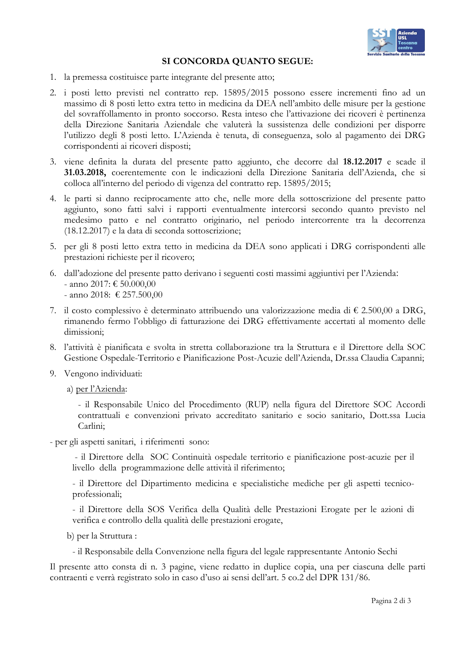

# SI CONCORDA QUANTO SEGUE:

- 1. la premessa costituisce parte integrante del presente atto;
- 2. i posti letto previsti nel contratto rep. 15895/2015 possono essere incrementi fino ad un massimo di 8 posti letto extra tetto in medicina da DEA nell'ambito delle misure per la gestione del sovraffollamento in pronto soccorso. Resta inteso che l'attivazione dei ricoveri è pertinenza della Direzione Sanitaria Aziendale che valuterà la sussistenza delle condizioni per disporre l'utilizzo degli 8 posti letto. L'Azienda è tenuta, di conseguenza, solo al pagamento dei DRG corrispondenti ai ricoveri disposti;
- 3. viene definita la durata del presente patto aggiunto, che decorre dal 18.12.2017 e scade il 31.03.2018, coerentemente con le indicazioni della Direzione Sanitaria dell'Azienda, che si colloca all'interno del periodo di vigenza del contratto rep. 15895/2015;
- 4. le parti si danno reciprocamente atto che, nelle more della sottoscrizione del presente patto aggiunto, sono fatti salvi i rapporti eventualmente intercorsi secondo quanto previsto nel medesimo patto e nel contratto originario, nel periodo intercorrente tra la decorrenza (18.12.2017) e la data di seconda sottoscrizione;
- 5. per gli 8 posti letto extra tetto in medicina da DEA sono applicati i DRG corrispondenti alle prestazioni richieste per il ricovero;
- 6. dall'adozione del presente patto derivano i seguenti costi massimi aggiuntivi per l'Azienda: - anno 2017: € 50.000,00 - anno 2018: € 257.500,00
- 7. il costo complessivo è determinato attribuendo una valorizzazione media di  $\epsilon$  2.500,00 a DRG, rimanendo fermo l'obbligo di fatturazione dei DRG effettivamente accertati al momento delle dimissioni:
- 8. l'attività è pianificata e svolta in stretta collaborazione tra la Struttura e il Direttore della SOC Gestione Ospedale-Territorio e Pianificazione Post-Acuzie dell'Azienda, Dr.ssa Claudia Capanni;
- 9. Vengono individuati:
	- a) per l'Azienda:
		- il Responsabile Unico del Procedimento (RUP) nella figura del Direttore SOC Accordi contrattuali e convenzioni privato accreditato sanitario e socio sanitario, Dott.ssa Lucia Carlini;
- per gli aspetti sanitari, i riferimenti sono:
	- il Direttore della SOC Continuità ospedale territorio e pianificazione post-acuzie per il livello della programmazione delle attività il riferimento;

- il Direttore del Dipartimento medicina e specialistiche mediche per gli aspetti tecnicoprofessionali:

- il Direttore della SOS Verifica della Qualità delle Prestazioni Erogate per le azioni di verifica e controllo della qualità delle prestazioni erogate,

- b) per la Struttura :
	- il Responsabile della Convenzione nella figura del legale rappresentante Antonio Sechi

Il presente atto consta di n. 3 pagine, viene redatto in duplice copia, una per ciascuna delle parti contraenti e verrà registrato solo in caso d'uso ai sensi dell'art. 5 co.2 del DPR 131/86.